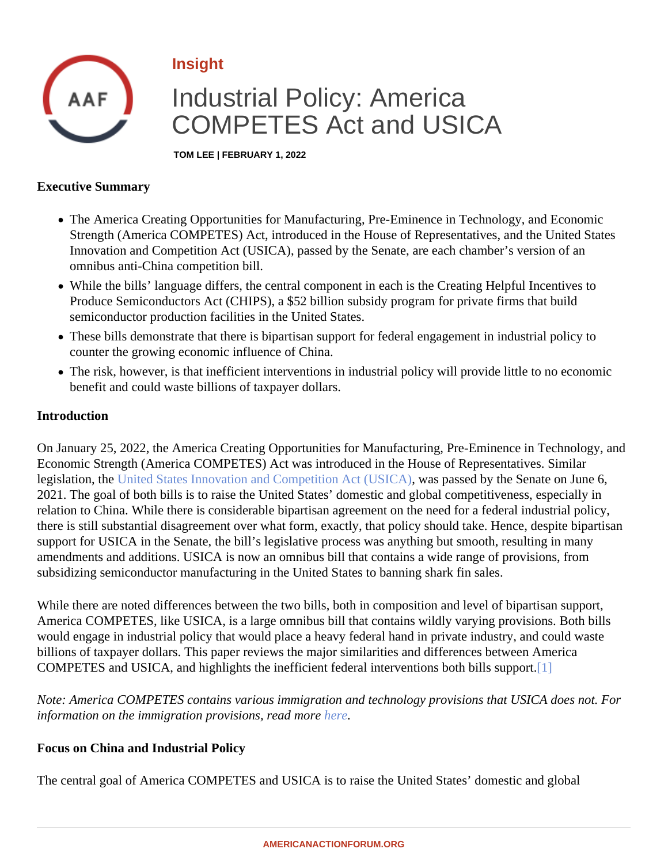# <span id="page-0-0"></span>Insight

# Industrial Policy: America COMPETES Act and USICA

TOM LEE | FEBRUARY 1, 2022

### Executive Summary

- The America Creating Opportunities for Manufacturing, Pre-Eminence in Technology, and Economic Strength (America COMPETES) Act, introduced in the House of Representatives, and the United States Innovation and Competition Act (USICA), passed by the Senate, are each chamber's version of an omnibus anti-China competition bill.
- While the bills' language differs, the central component in each is the Creating Helpful Incentives to Produce Semiconductors Act (CHIPS), a \$52 billion subsidy program for private firms that build semiconductor production facilities in the United States.
- These bills demonstrate that there is bipartisan support for federal engagement in industrial policy to counter the growing economic influence of China.
- The risk, however, is that inefficient interventions in industrial policy will provide little to no economic benefit and could waste billions of taxpayer dollars.

# **Introduction**

On January 25, 2022, the America Creating Opportunities for Manufacturing, Pre-Eminence in Technology, and Economic Strength (America COMPETES) Act was introduced in the House of Representatives. Similar legislation, th[e United States Innovation and Competition Act \(USIC](�� h t t p s : / / w w w . a m e r i c a n a c t i o n f o r u m . o r g / i n s i g h t / t h e - u n i t e d - s t a t e s - i n n o v a t i o n - a n d - c o m p e t i t i o n - a c t - u s i c a - a - p r i m e r /)Mas passed by the Senate on June 6, 2021. The goal of both bills is to raise the United States' domestic and global competitiveness, especially in relation to China. While there is considerable bipartisan agreement on the need for a federal industrial policy, there is still substantial disagreement over what form, exactly, that policy should take. Hence, despite bipartis support for USICA in the Senate, the bill's legislative process was anything but smooth, resulting in many amendments and additions. USICA is now an omnibus bill that contains a wide range of provisions, from subsidizing semiconductor manufacturing in the United States to banning shark fin sales.

While there are noted differences between the two bills, both in composition and level of bipartisan support, America COMPETES, like USICA, is a large omnibus bill that contains wildly varying provisions. Both bills would engage in industrial policy that would place a heavy federal hand in private industry, and could waste billions of taxpayer dollars. This paper reviews the major similarities and differences between America COMPETES and USICA, and highlights the inefficient federal interventions both bills s[upp](#page-3-0)ort.

Note: America COMPETES contains various immigration and technology provisions that USICA does not. For information on the immigration provisions, read more

Focus on China and Industrial Policy

The central goal of America COMPETES and USICA is to raise the United States' domestic and global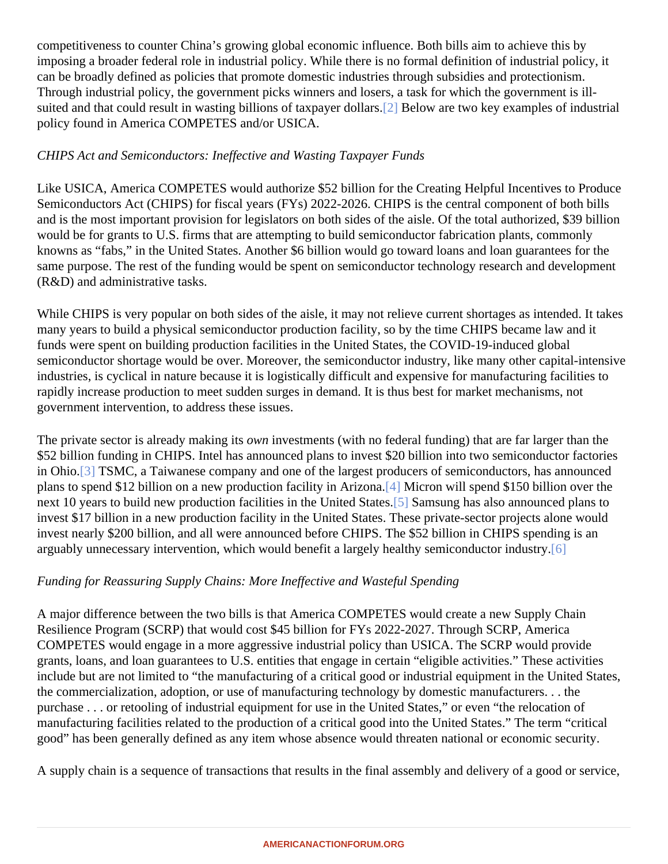<span id="page-1-0"></span>competitiveness to counter China's growing global economic influence. Both bills aim to achieve this by imposing a broader federal role in industrial policy. While there is no formal definition of industrial policy, it can be broadly defined as policies that promote domestic industries through subsidies and protectionism. Through industrial policy, the government picks winners and losers, a task for which the government is illsuited and that could result in wasting billions of taxpayer d[olla](#page-3-0)r Below are two key examples of industrial policy found in America COMPETES and/or USICA.

# CHIPS Act and Semiconductors: Ineffective and Wasting Taxpayer Funds

Like USICA, America COMPETES would authorize \$52 billion for the Creating Helpful Incentives to Produce Semiconductors Act (CHIPS) for fiscal years (FYs) 2022-2026. CHIPS is the central component of both bills and is the most important provision for legislators on both sides of the aisle. Of the total authorized, \$39 billion would be for grants to U.S. firms that are attempting to build semiconductor fabrication plants, commonly knowns as "fabs," in the United States. Another \$6 billion would go toward loans and loan guarantees for the same purpose. The rest of the funding would be spent on semiconductor technology research and development (R&D) and administrative tasks.

While CHIPS is very popular on both sides of the aisle, it may not relieve current shortages as intended. It tak many years to build a physical semiconductor production facility, so by the time CHIPS became law and it funds were spent on building production facilities in the United States, the COVID-19-induced global semiconductor shortage would be over. Moreover, the semiconductor industry, like many other capital-intensity industries, is cyclical in nature because it is logistically difficult and expensive for manufacturing facilities to rapidly increase production to meet sudden surges in demand. It is thus best for market mechanisms, not government intervention, to address these issues.

The private sector is already making other investments (with no federal funding) that are far larger than the \$52 billion funding in CHIPS. Intel has announced plans to invest \$20 billion into two semiconductor factories in Ohio.<sup>[3]</sup> TSMC, a Taiwanese company and one of the largest producers of semiconductors, has announce plans to spend \$12 billion on a new production facility in Ari[zon](#page-3-0)a. Will spend \$150 billion over the next 10 years to build new production facilities in the United S[tate](#page-3-0)Samsung has also announced plans to invest \$17 billion in a new production facility in the United States. These private-sector projects alone would invest nearly \$200 billion, and all were announced before CHIPS. The \$52 billion in CHIPS spending is an arguably unnecessary intervention, which would benefit a largely healthy semiconductor [ind](#page-3-0)ustry.

Funding for Reassuring Supply Chains: More Ineffective and Wasteful Spending

A major difference between the two bills is that America COMPETES would create a new Supply Chain Resilience Program (SCRP) that would cost \$45 billion for FYs 2022-2027. Through SCRP, America COMPETES would engage in a more aggressive industrial policy than USICA. The SCRP would provide grants, loans, and loan guarantees to U.S. entities that engage in certain "eligible activities." These activities include but are not limited to "the manufacturing of a critical good or industrial equipment in the United States the commercialization, adoption, or use of manufacturing technology by domestic manufacturers. . . the purchase . . . or retooling of industrial equipment for use in the United States," or even "the relocation of manufacturing facilities related to the production of a critical good into the United States." The term "critical good" has been generally defined as any item whose absence would threaten national or economic security.

A supply chain is a sequence of transactions that results in the final assembly and delivery of a good or servic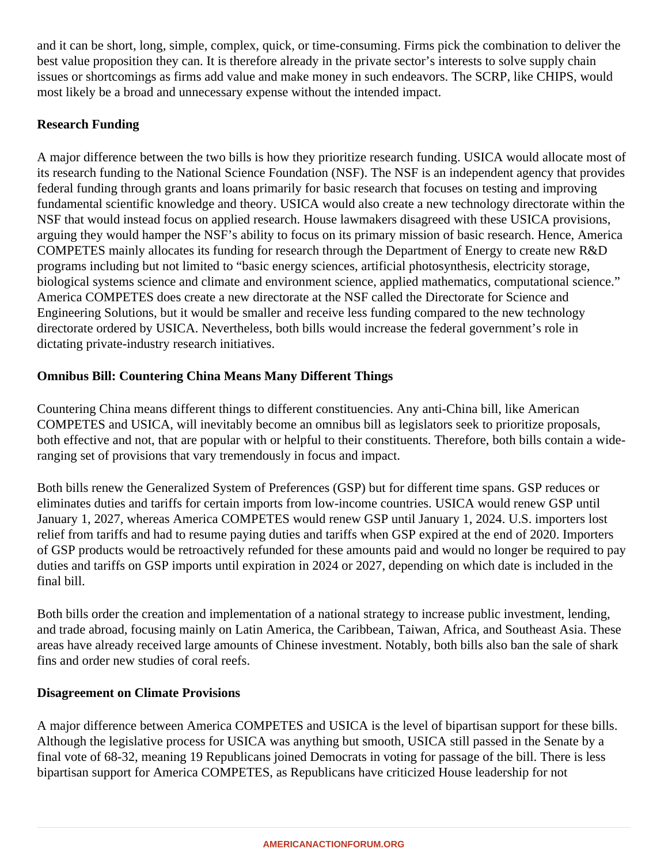and it can be short, long, simple, complex, quick, or time-consuming. Firms pick the combination to deliver the best value proposition they can. It is therefore already in the private sector's interests to solve supply chain issues or shortcomings as firms add value and make money in such endeavors. The SCRP, like CHIPS, would most likely be a broad and unnecessary expense without the intended impact.

# **Research Funding**

A major difference between the two bills is how they prioritize research funding. USICA would allocate most of its research funding to the National Science Foundation (NSF). The NSF is an independent agency that provides federal funding through grants and loans primarily for basic research that focuses on testing and improving fundamental scientific knowledge and theory. USICA would also create a new technology directorate within the NSF that would instead focus on applied research. House lawmakers disagreed with these USICA provisions, arguing they would hamper the NSF's ability to focus on its primary mission of basic research. Hence, America COMPETES mainly allocates its funding for research through the Department of Energy to create new R&D programs including but not limited to "basic energy sciences, artificial photosynthesis, electricity storage, biological systems science and climate and environment science, applied mathematics, computational science." America COMPETES does create a new directorate at the NSF called the Directorate for Science and Engineering Solutions, but it would be smaller and receive less funding compared to the new technology directorate ordered by USICA. Nevertheless, both bills would increase the federal government's role in dictating private-industry research initiatives.

# **Omnibus Bill: Countering China Means Many Different Things**

Countering China means different things to different constituencies. Any anti-China bill, like American COMPETES and USICA, will inevitably become an omnibus bill as legislators seek to prioritize proposals, both effective and not, that are popular with or helpful to their constituents. Therefore, both bills contain a wideranging set of provisions that vary tremendously in focus and impact.

Both bills renew the Generalized System of Preferences (GSP) but for different time spans. GSP reduces or eliminates duties and tariffs for certain imports from low-income countries. USICA would renew GSP until January 1, 2027, whereas America COMPETES would renew GSP until January 1, 2024. U.S. importers lost relief from tariffs and had to resume paying duties and tariffs when GSP expired at the end of 2020. Importers of GSP products would be retroactively refunded for these amounts paid and would no longer be required to pay duties and tariffs on GSP imports until expiration in 2024 or 2027, depending on which date is included in the final bill.

Both bills order the creation and implementation of a national strategy to increase public investment, lending, and trade abroad, focusing mainly on Latin America, the Caribbean, Taiwan, Africa, and Southeast Asia. These areas have already received large amounts of Chinese investment. Notably, both bills also ban the sale of shark fins and order new studies of coral reefs.

#### **Disagreement on Climate Provisions**

A major difference between America COMPETES and USICA is the level of bipartisan support for these bills. Although the legislative process for USICA was anything but smooth, USICA still passed in the Senate by a final vote of 68-32, meaning 19 Republicans joined Democrats in voting for passage of the bill. There is less bipartisan support for America COMPETES, as Republicans have criticized House leadership for not